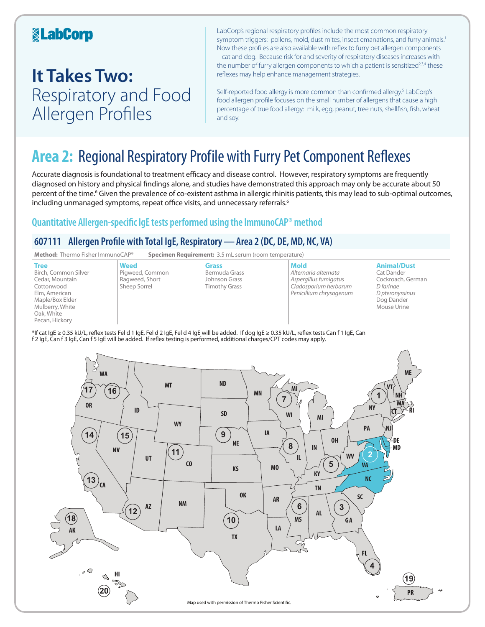### **KabCorp**

## **It Takes Two:**  Respiratory and Food Allergen Profiles

LabCorp's regional respiratory profiles include the most common respiratory symptom triggers: pollens, mold, dust mites, insect emanations, and furry animals.<sup>1</sup> Now these profiles are also available with reflex to furry pet allergen components – cat and dog. Because risk for and severity of respiratory diseases increases with the number of furry allergen components to which a patient is sensitized<sup>2,3,4</sup> these reflexes may help enhance management strategies.

Self-reported food allergy is more common than confirmed allergy.<sup>5</sup> LabCorp's food allergen profile focuses on the small number of allergens that cause a high percentage of true food allergy: milk, egg, peanut, tree nuts, shellfish, fish, wheat and soy.

## **Area 2:** Regional Respiratory Profile with Furry Pet Component Reflexes

Accurate diagnosis is foundational to treatment efficacy and disease control. However, respiratory symptoms are frequently diagnosed on history and physical findings alone, and studies have demonstrated this approach may only be accurate about 50 percent of the time.<sup>6</sup> Given the prevalence of co-existent asthma in allergic rhinitis patients, this may lead to sub-optimal outcomes, including unmanaged symptoms, repeat office visits, and unnecessary referrals.<sup>6</sup>

### **Quantitative Allergen-specific IgE tests performed using the ImmunoCAP® method**

### **607111 Allergen Profile with Total IgE, Respiratory—Area 2 (DC, DE, MD, NC, VA)**